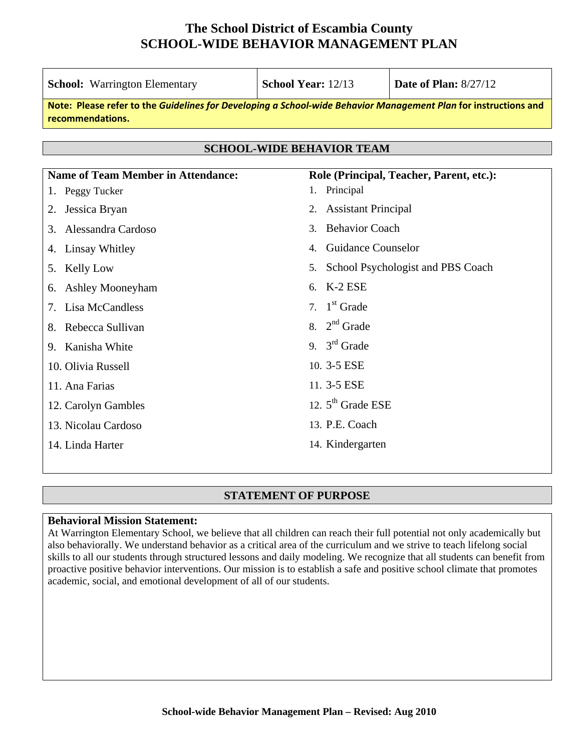| <b>School:</b> Warrington Elementary                                                                                                | <b>School Year: 12/13</b>               | <b>Date of Plan: 8/27/12</b>             |  |  |  |  |  |
|-------------------------------------------------------------------------------------------------------------------------------------|-----------------------------------------|------------------------------------------|--|--|--|--|--|
| Note: Please refer to the Guidelines for Developing a School-wide Behavior Management Plan for instructions and<br>recommendations. |                                         |                                          |  |  |  |  |  |
|                                                                                                                                     |                                         |                                          |  |  |  |  |  |
| <b>SCHOOL-WIDE BEHAVIOR TEAM</b>                                                                                                    |                                         |                                          |  |  |  |  |  |
| <b>Name of Team Member in Attendance:</b>                                                                                           |                                         | Role (Principal, Teacher, Parent, etc.): |  |  |  |  |  |
| 1. Peggy Tucker                                                                                                                     | 1. Principal                            |                                          |  |  |  |  |  |
| Jessica Bryan<br>2.                                                                                                                 | <b>Assistant Principal</b><br>2.        |                                          |  |  |  |  |  |
| Alessandra Cardoso<br>3.                                                                                                            | <b>Behavior Coach</b><br>3 <sub>1</sub> |                                          |  |  |  |  |  |
| Linsay Whitley<br>4.                                                                                                                | <b>Guidance Counselor</b><br>4.         |                                          |  |  |  |  |  |
| <b>Kelly Low</b><br>5.                                                                                                              | 5.                                      | School Psychologist and PBS Coach        |  |  |  |  |  |
| <b>Ashley Mooneyham</b><br>6.                                                                                                       | 6. K-2 ESE                              |                                          |  |  |  |  |  |
| Lisa McCandless<br>7.                                                                                                               | 7. $1st$ Grade                          |                                          |  |  |  |  |  |
| 8. Rebecca Sullivan                                                                                                                 | 8. $2nd$ Grade                          |                                          |  |  |  |  |  |
| 9. Kanisha White                                                                                                                    | 9. $3^{\text{rd}}$ Grade                |                                          |  |  |  |  |  |
| 10. Olivia Russell                                                                                                                  | 10. 3-5 ESE                             |                                          |  |  |  |  |  |
| 11. Ana Farias                                                                                                                      | 11. 3-5 ESE                             |                                          |  |  |  |  |  |
| 12. Carolyn Gambles                                                                                                                 | 12. $5th$ Grade ESE                     |                                          |  |  |  |  |  |
| 13. Nicolau Cardoso                                                                                                                 | 13. P.E. Coach                          |                                          |  |  |  |  |  |
| 14. Linda Harter                                                                                                                    | 14. Kindergarten                        |                                          |  |  |  |  |  |

#### **STATEMENT OF PURPOSE**

#### **Behavioral Mission Statement:**

At Warrington Elementary School, we believe that all children can reach their full potential not only academically but also behaviorally. We understand behavior as a critical area of the curriculum and we strive to teach lifelong social skills to all our students through structured lessons and daily modeling. We recognize that all students can benefit from proactive positive behavior interventions. Our mission is to establish a safe and positive school climate that promotes academic, social, and emotional development of all of our students.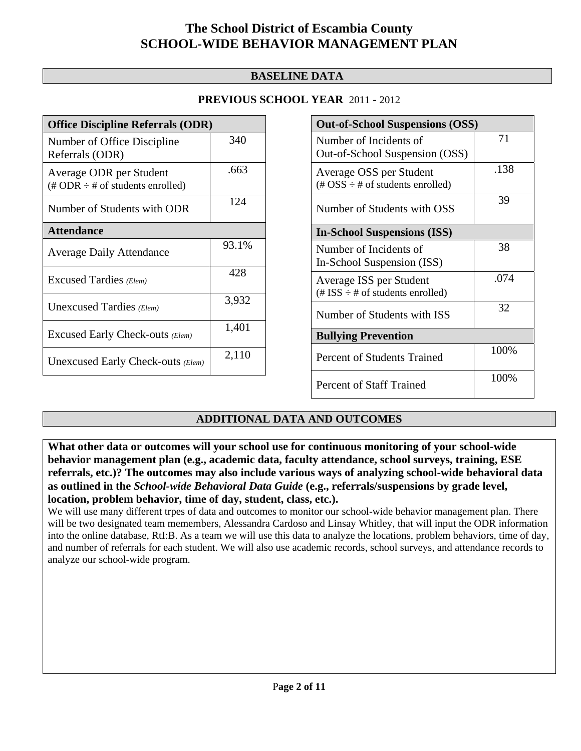### **BASELINE DATA**

### **PREVIOUS SCHOOL YEAR** 2011 - 2012

| <b>Office Discipline Referrals (ODR)</b>                                         |       |  |  |  |
|----------------------------------------------------------------------------------|-------|--|--|--|
| Number of Office Discipline<br>Referrals (ODR)                                   | 340   |  |  |  |
| Average ODR per Student<br>$(\text{\# ODR} \div \text{\# of students enrolled})$ | .663  |  |  |  |
| Number of Students with ODR                                                      | 124   |  |  |  |
| <b>Attendance</b>                                                                |       |  |  |  |
| <b>Average Daily Attendance</b>                                                  | 93.1% |  |  |  |
| Excused Tardies (Elem)                                                           | 428   |  |  |  |
| Unexcused Tardies (Elem)                                                         | 3,932 |  |  |  |
| Excused Early Check-outs (Elem)                                                  | 1,401 |  |  |  |
| Unexcused Early Check-outs (Elem)                                                | 2,110 |  |  |  |

| <b>Out-of-School Suspensions (OSS)</b>                                                          |      |  |  |  |  |
|-------------------------------------------------------------------------------------------------|------|--|--|--|--|
| Number of Incidents of<br>Out-of-School Suspension (OSS)                                        | 71   |  |  |  |  |
| Average OSS per Student<br>$(\text{\#} \text{OSS} \div \text{\#} \text{ of students enrolled})$ | .138 |  |  |  |  |
| Number of Students with OSS                                                                     | 39   |  |  |  |  |
| <b>In-School Suspensions (ISS)</b>                                                              |      |  |  |  |  |
| Number of Incidents of<br>In-School Suspension (ISS)                                            | 38   |  |  |  |  |
| Average ISS per Student<br>$(\text{\# ISS} \div \text{\# of students enrolled})$                | .074 |  |  |  |  |
| Number of Students with ISS                                                                     | 32   |  |  |  |  |
| <b>Bullying Prevention</b>                                                                      |      |  |  |  |  |
| Percent of Students Trained                                                                     | 100% |  |  |  |  |
| <b>Percent of Staff Trained</b>                                                                 | 100% |  |  |  |  |

### **ADDITIONAL DATA AND OUTCOMES**

**What other data or outcomes will your school use for continuous monitoring of your school-wide behavior management plan (e.g., academic data, faculty attendance, school surveys, training, ESE referrals, etc.)? The outcomes may also include various ways of analyzing school-wide behavioral data as outlined in the** *School-wide Behavioral Data Guide* **(e.g., referrals/suspensions by grade level, location, problem behavior, time of day, student, class, etc.).**

We will use many different trpes of data and outcomes to monitor our school-wide behavior management plan. There will be two designated team memembers, Alessandra Cardoso and Linsay Whitley, that will input the ODR information into the online database, RtI:B. As a team we will use this data to analyze the locations, problem behaviors, time of day, and number of referrals for each student. We will also use academic records, school surveys, and attendance records to analyze our school-wide program.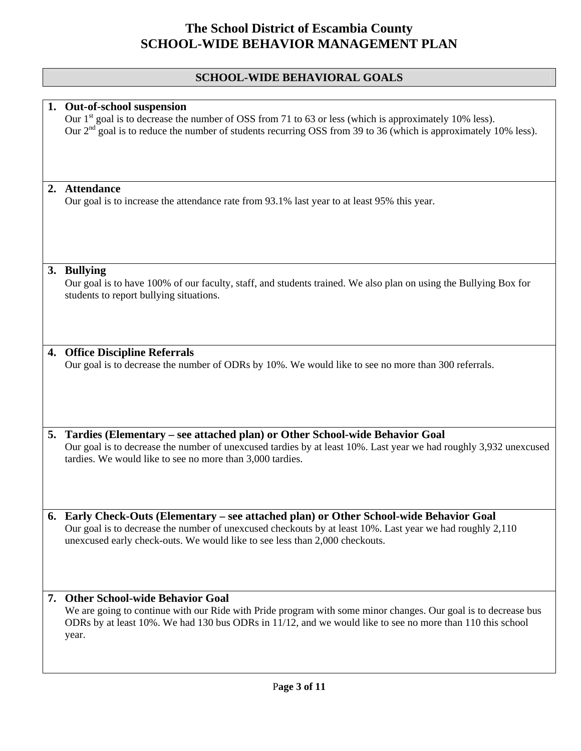### **SCHOOL-WIDE BEHAVIORAL GOALS**

|    | 1. Out-of-school suspension<br>Our 1 <sup>st</sup> goal is to decrease the number of OSS from 71 to 63 or less (which is approximately 10% less).<br>Our $2nd$ goal is to reduce the number of students recurring OSS from 39 to 36 (which is approximately 10% less).           |
|----|----------------------------------------------------------------------------------------------------------------------------------------------------------------------------------------------------------------------------------------------------------------------------------|
|    |                                                                                                                                                                                                                                                                                  |
| 2. | <b>Attendance</b><br>Our goal is to increase the attendance rate from 93.1% last year to at least 95% this year.                                                                                                                                                                 |
|    | 3. Bullying<br>Our goal is to have 100% of our faculty, staff, and students trained. We also plan on using the Bullying Box for<br>students to report bullying situations.                                                                                                       |
| 4. | <b>Office Discipline Referrals</b><br>Our goal is to decrease the number of ODRs by 10%. We would like to see no more than 300 referrals.                                                                                                                                        |
|    | 5. Tardies (Elementary – see attached plan) or Other School-wide Behavior Goal<br>Our goal is to decrease the number of unexcused tardies by at least 10%. Last year we had roughly 3,932 unexcused<br>tardies. We would like to see no more than 3,000 tardies.                 |
| 6. | Early Check-Outs (Elementary – see attached plan) or Other School-wide Behavior Goal<br>Our goal is to decrease the number of unexcused checkouts by at least 10%. Last year we had roughly 2,110<br>unexcused early check-outs. We would like to see less than 2,000 checkouts. |
|    | 7. Other School-wide Behavior Goal<br>We are going to continue with our Ride with Pride program with some minor changes. Our goal is to decrease bus<br>ODRs by at least 10%. We had 130 bus ODRs in 11/12, and we would like to see no more than 110 this school<br>year.       |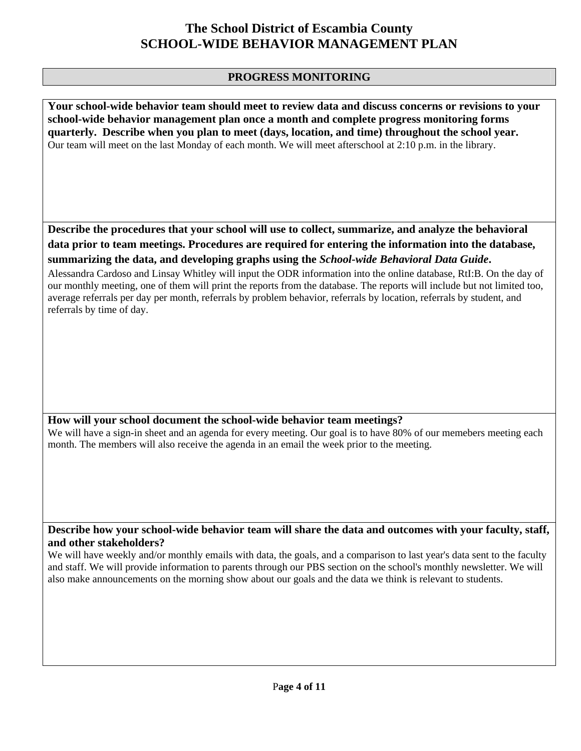### **PROGRESS MONITORING**

**Your school-wide behavior team should meet to review data and discuss concerns or revisions to your school-wide behavior management plan once a month and complete progress monitoring forms quarterly. Describe when you plan to meet (days, location, and time) throughout the school year.**  Our team will meet on the last Monday of each month. We will meet afterschool at 2:10 p.m. in the library.

**Describe the procedures that your school will use to collect, summarize, and analyze the behavioral data prior to team meetings. Procedures are required for entering the information into the database, summarizing the data, and developing graphs using the** *School-wide Behavioral Data Guide***.** 

Alessandra Cardoso and Linsay Whitley will input the ODR information into the online database, RtI:B. On the day of our monthly meeting, one of them will print the reports from the database. The reports will include but not limited too, average referrals per day per month, referrals by problem behavior, referrals by location, referrals by student, and referrals by time of day.

#### **How will your school document the school-wide behavior team meetings?**

We will have a sign-in sheet and an agenda for every meeting. Our goal is to have 80% of our memebers meeting each month. The members will also receive the agenda in an email the week prior to the meeting.

#### **Describe how your school-wide behavior team will share the data and outcomes with your faculty, staff, and other stakeholders?**

We will have weekly and/or monthly emails with data, the goals, and a comparison to last year's data sent to the faculty and staff. We will provide information to parents through our PBS section on the school's monthly newsletter. We will also make announcements on the morning show about our goals and the data we think is relevant to students.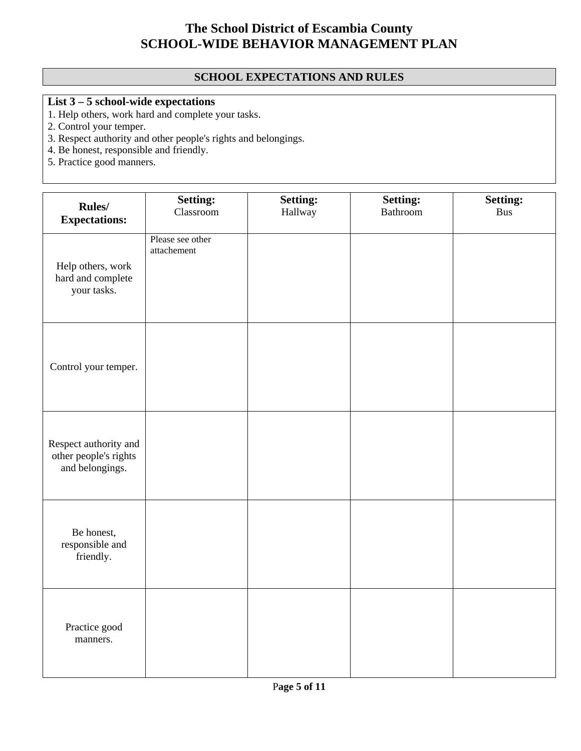### **SCHOOL EXPECTATIONS AND RULES**

### **List 3 – 5 school-wide expectations**

- 1. Help others, work hard and complete your tasks.
- 2. Control your temper.
- 3. Respect authority and other people's rights and belongings.
- 4. Be honest, responsible and friendly.
- 5. Practice good manners.

| Rules/<br><b>Expectations:</b>                                    | <b>Setting:</b><br>Classroom    | <b>Setting:</b><br>Hallway | <b>Setting:</b><br>Bathroom | <b>Setting:</b><br><b>Bus</b> |
|-------------------------------------------------------------------|---------------------------------|----------------------------|-----------------------------|-------------------------------|
| Help others, work<br>hard and complete<br>your tasks.             | Please see other<br>attachement |                            |                             |                               |
| Control your temper.                                              |                                 |                            |                             |                               |
| Respect authority and<br>other people's rights<br>and belongings. |                                 |                            |                             |                               |
| Be honest,<br>responsible and<br>friendly.                        |                                 |                            |                             |                               |
| Practice good<br>manners.                                         |                                 |                            |                             |                               |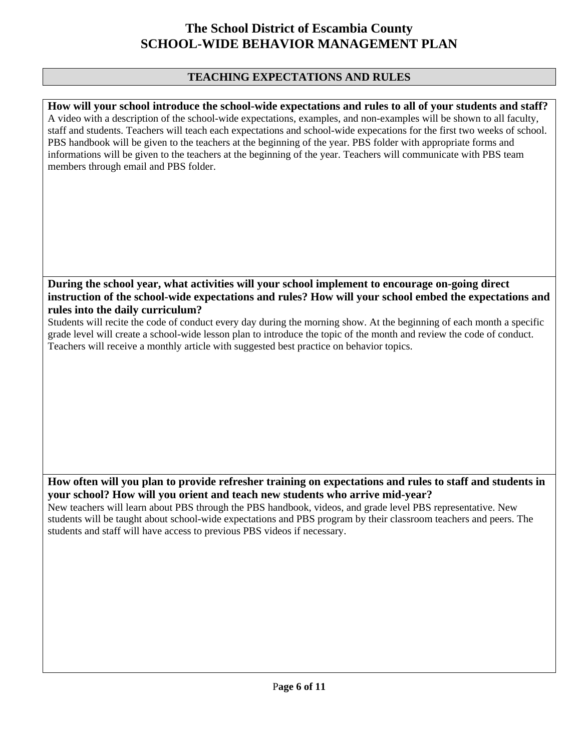### **TEACHING EXPECTATIONS AND RULES**

**How will your school introduce the school-wide expectations and rules to all of your students and staff?**  A video with a description of the school-wide expectations, examples, and non-examples will be shown to all faculty, staff and students. Teachers will teach each expectations and school-wide expecations for the first two weeks of school. PBS handbook will be given to the teachers at the beginning of the year. PBS folder with appropriate forms and informations will be given to the teachers at the beginning of the year. Teachers will communicate with PBS team members through email and PBS folder.

### **During the school year, what activities will your school implement to encourage on-going direct instruction of the school-wide expectations and rules? How will your school embed the expectations and rules into the daily curriculum?**

Students will recite the code of conduct every day during the morning show. At the beginning of each month a specific grade level will create a school-wide lesson plan to introduce the topic of the month and review the code of conduct. Teachers will receive a monthly article with suggested best practice on behavior topics.

#### **How often will you plan to provide refresher training on expectations and rules to staff and students in your school? How will you orient and teach new students who arrive mid-year?**

New teachers will learn about PBS through the PBS handbook, videos, and grade level PBS representative. New students will be taught about school-wide expectations and PBS program by their classroom teachers and peers. The students and staff will have access to previous PBS videos if necessary.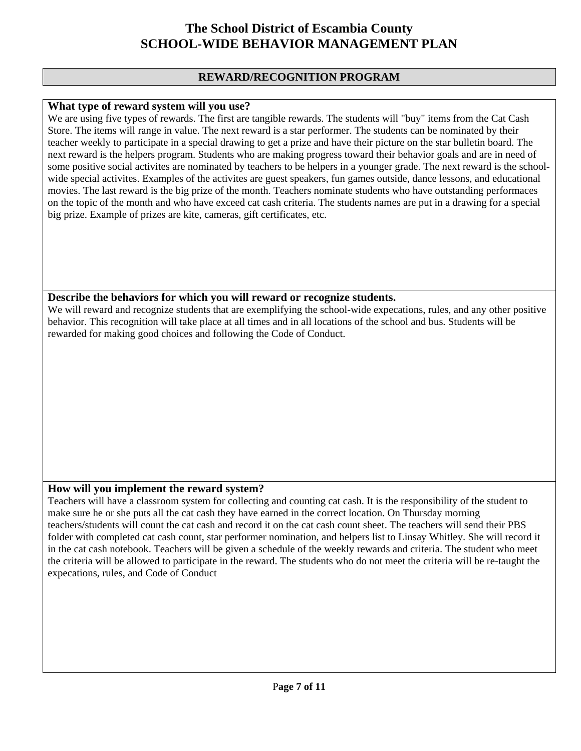#### **REWARD/RECOGNITION PROGRAM**

#### **What type of reward system will you use?**

We are using five types of rewards. The first are tangible rewards. The students will "buy" items from the Cat Cash Store. The items will range in value. The next reward is a star performer. The students can be nominated by their teacher weekly to participate in a special drawing to get a prize and have their picture on the star bulletin board. The next reward is the helpers program. Students who are making progress toward their behavior goals and are in need of some positive social activites are nominated by teachers to be helpers in a younger grade. The next reward is the schoolwide special activites. Examples of the activites are guest speakers, fun games outside, dance lessons, and educational movies. The last reward is the big prize of the month. Teachers nominate students who have outstanding performaces on the topic of the month and who have exceed cat cash criteria. The students names are put in a drawing for a special big prize. Example of prizes are kite, cameras, gift certificates, etc.

#### **Describe the behaviors for which you will reward or recognize students.**

We will reward and recognize students that are exemplifying the school-wide expecations, rules, and any other positive behavior. This recognition will take place at all times and in all locations of the school and bus. Students will be rewarded for making good choices and following the Code of Conduct.

### **How will you implement the reward system?**

Teachers will have a classroom system for collecting and counting cat cash. It is the responsibility of the student to make sure he or she puts all the cat cash they have earned in the correct location. On Thursday morning teachers/students will count the cat cash and record it on the cat cash count sheet. The teachers will send their PBS folder with completed cat cash count, star performer nomination, and helpers list to Linsay Whitley. She will record it in the cat cash notebook. Teachers will be given a schedule of the weekly rewards and criteria. The student who meet the criteria will be allowed to participate in the reward. The students who do not meet the criteria will be re-taught the expecations, rules, and Code of Conduct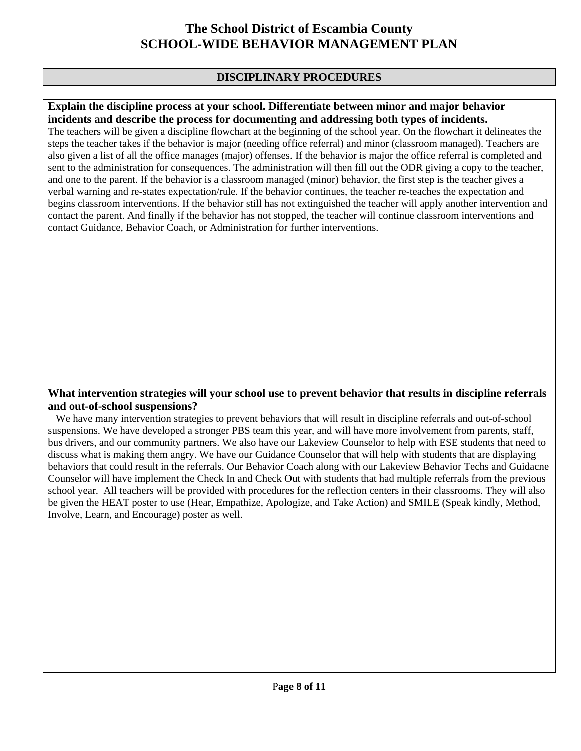### **DISCIPLINARY PROCEDURES**

#### **Explain the discipline process at your school. Differentiate between minor and major behavior incidents and describe the process for documenting and addressing both types of incidents.**

The teachers will be given a discipline flowchart at the beginning of the school year. On the flowchart it delineates the steps the teacher takes if the behavior is major (needing office referral) and minor (classroom managed). Teachers are also given a list of all the office manages (major) offenses. If the behavior is major the office referral is completed and sent to the administration for consequences. The administration will then fill out the ODR giving a copy to the teacher, and one to the parent. If the behavior is a classroom managed (minor) behavior, the first step is the teacher gives a verbal warning and re-states expectation/rule. If the behavior continues, the teacher re-teaches the expectation and begins classroom interventions. If the behavior still has not extinguished the teacher will apply another intervention and contact the parent. And finally if the behavior has not stopped, the teacher will continue classroom interventions and contact Guidance, Behavior Coach, or Administration for further interventions.

#### **What intervention strategies will your school use to prevent behavior that results in discipline referrals and out-of-school suspensions?**

 We have many intervention strategies to prevent behaviors that will result in discipline referrals and out-of-school suspensions. We have developed a stronger PBS team this year, and will have more involvement from parents, staff, bus drivers, and our community partners. We also have our Lakeview Counselor to help with ESE students that need to discuss what is making them angry. We have our Guidance Counselor that will help with students that are displaying behaviors that could result in the referrals. Our Behavior Coach along with our Lakeview Behavior Techs and Guidacne Counselor will have implement the Check In and Check Out with students that had multiple referrals from the previous school year. All teachers will be provided with procedures for the reflection centers in their classrooms. They will also be given the HEAT poster to use (Hear, Empathize, Apologize, and Take Action) and SMILE (Speak kindly, Method, Involve, Learn, and Encourage) poster as well.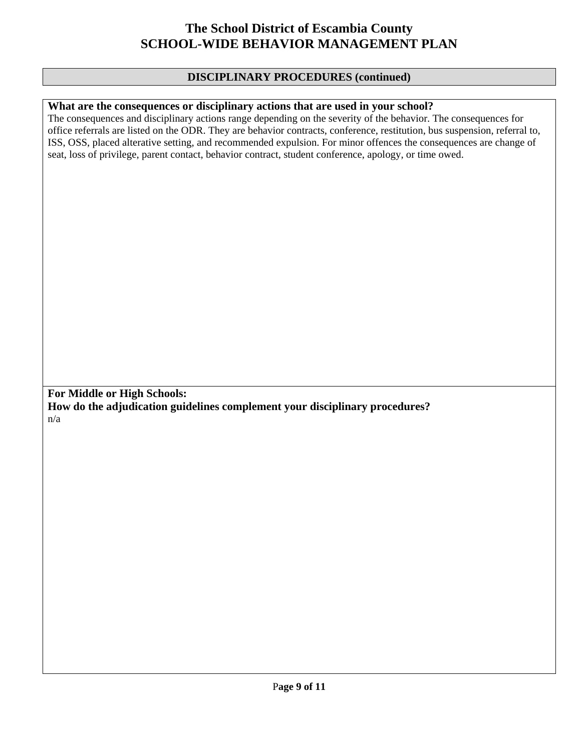#### **DISCIPLINARY PROCEDURES (continued)**

#### **What are the consequences or disciplinary actions that are used in your school?**

The consequences and disciplinary actions range depending on the severity of the behavior. The consequences for office referrals are listed on the ODR. They are behavior contracts, conference, restitution, bus suspension, referral to, ISS, OSS, placed alterative setting, and recommended expulsion. For minor offences the consequences are change of seat, loss of privilege, parent contact, behavior contract, student conference, apology, or time owed.

**For Middle or High Schools: How do the adjudication guidelines complement your disciplinary procedures?**  n/a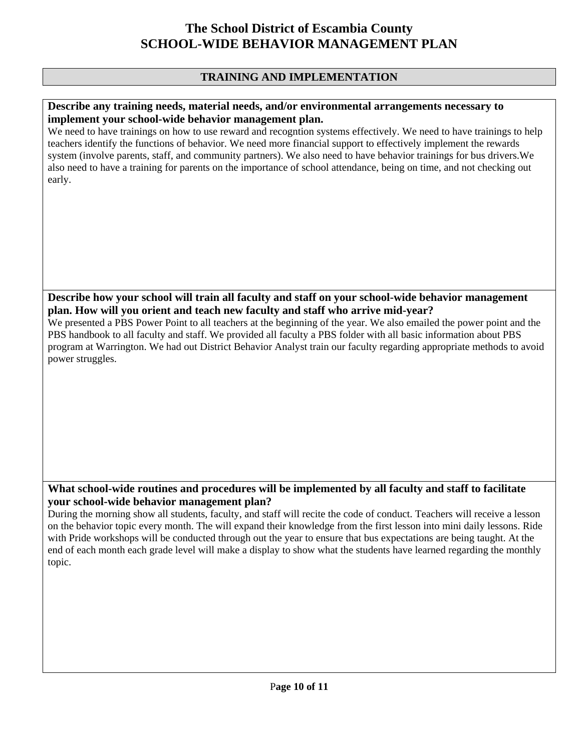### **TRAINING AND IMPLEMENTATION**

#### **Describe any training needs, material needs, and/or environmental arrangements necessary to implement your school-wide behavior management plan.**

We need to have trainings on how to use reward and recogntion systems effectively. We need to have trainings to help teachers identify the functions of behavior. We need more financial support to effectively implement the rewards system (involve parents, staff, and community partners). We also need to have behavior trainings for bus drivers.We also need to have a training for parents on the importance of school attendance, being on time, and not checking out early.

**Describe how your school will train all faculty and staff on your school-wide behavior management plan. How will you orient and teach new faculty and staff who arrive mid-year?** 

We presented a PBS Power Point to all teachers at the beginning of the year. We also emailed the power point and the PBS handbook to all faculty and staff. We provided all faculty a PBS folder with all basic information about PBS program at Warrington. We had out District Behavior Analyst train our faculty regarding appropriate methods to avoid power struggles.

### **What school-wide routines and procedures will be implemented by all faculty and staff to facilitate your school-wide behavior management plan?**

During the morning show all students, faculty, and staff will recite the code of conduct. Teachers will receive a lesson on the behavior topic every month. The will expand their knowledge from the first lesson into mini daily lessons. Ride with Pride workshops will be conducted through out the year to ensure that bus expectations are being taught. At the end of each month each grade level will make a display to show what the students have learned regarding the monthly topic.